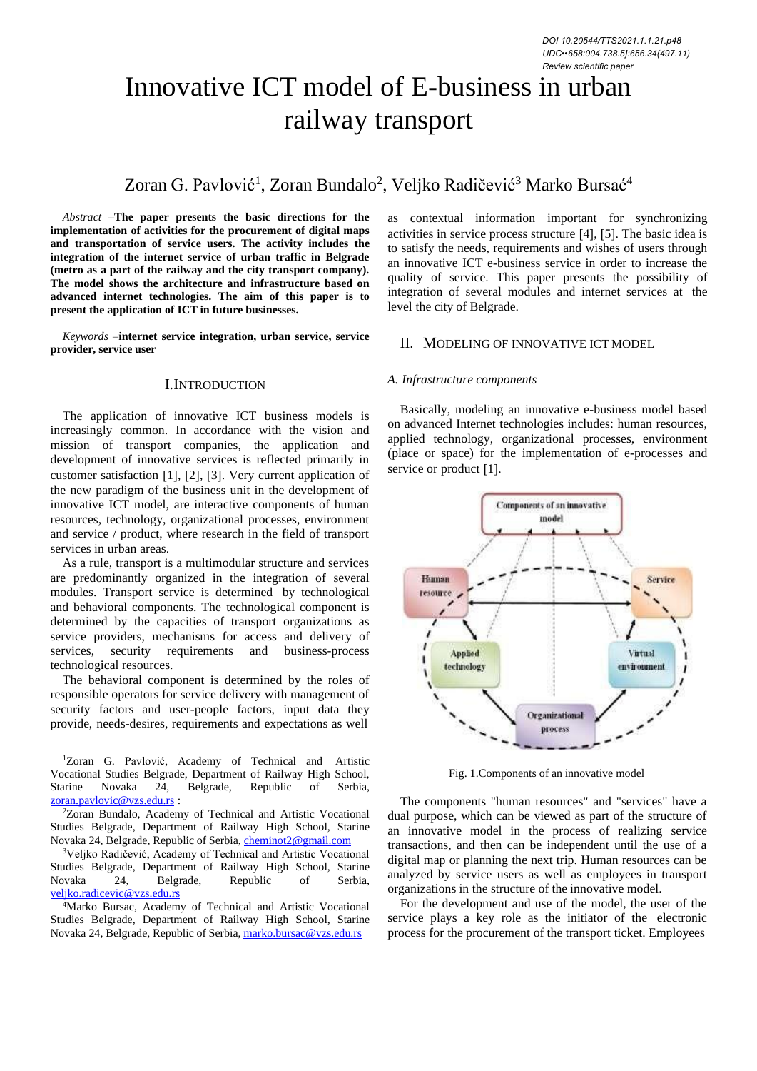# Innovative ICT model of E-business in urban railway transport

# Zoran G. Pavlović<sup>1</sup>, Zoran Bundalo<sup>2</sup>, Veljko Radičević<sup>3</sup> Marko Bursać<sup>4</sup>

*Abstract –***The paper presents the basic directions for the implementation of activities for the procurement of digital maps and transportation of service users. The activity includes the integration of the internet service of urban traffic in Belgrade (metro as a part of the railway and the city transport company). The model shows the architecture and infrastructure based on advanced internet technologies. The aim of this paper is to present the application of ICT in future businesses.**

*Keywords –***internet service integration, urban service, service provider, service user**

#### I.INTRODUCTION

The application of innovative ICT business models is increasingly common. In accordance with the vision and mission of transport companies, the application and development of innovative services is reflected primarily in customer satisfaction [1], [2], [3]. Very current application of the new paradigm of the business unit in the development of innovative ICT model, are interactive components of human resources, technology, organizational processes, environment and service / product, where research in the field of transport services in urban areas.

As a rule, transport is a multimodular structure and services are predominantly organized in the integration of several modules. Transport service is determined by technological and behavioral components. The technological component is determined by the capacities of transport organizations as service providers, mechanisms for access and delivery of services, security requirements and business-process security requirements and business-process technological resources.

The behavioral component is determined by the roles of responsible operators for service delivery with management of security factors and user-people factors, input data they provide, needs-desires, requirements and expectations as well

<sup>1</sup>Zoran G. Pavlović, Academy of Technical and Artistic Vocational Studies Belgrade, Department of Railway High School, Starine Novaka 24, Belgrade, Republic of Serbia, [zoran.pavlovic@vzs.edu.rs](mailto:zoran.pavlovic@vzs.edu.rs) :

<sup>2</sup>Zoran Bundalo, Academy of Technical and Artistic Vocational Studies Belgrade, Department of Railway High School, Starine Novaka 24, Belgrade, Republic of Serbia, [cheminot2@gmail.com](mailto:cheminot2@gmail.com)

<sup>3</sup>Veljko Radičević, Academy of Technical and Artistic Vocational Studies Belgrade, Department of Railway High School, Starine Novaka 24, Belgrade, Republic of Serbia, [veljko.radicevic@vzs.edu.rs](mailto:veljko.radicevic@vzs.edu.rs)

<sup>4</sup>Marko Bursac, Academy of Technical and Artistic Vocational Studies Belgrade, Department of Railway High School, Starine Novaka 24, Belgrade, Republic of Serbia, [marko.bursac@vzs.edu.rs](mailto:marko.bursac@vzs.edu.rs)

as contextual information important for synchronizing activities in service process structure  $[4]$ ,  $[5]$ . The basic idea is to satisfy the needs, requirements and wishes of users through an innovative ICT e-business service in order to increase the quality of service. This paper presents the possibility of integration of several modules and internet services at the level the city of Belgrade.

## II. МODELING OF INNOVATIVE ICT MODEL

#### *A. Infrastructure components*

Basically, modeling an innovative e-business model based on advanced Internet technologies includes: human resources, applied technology, organizational processes, environment (place or space) for the implementation of e-processes and service or product [1].



Fig. 1.Components of an innovative model

The components "human resources" and "services" have a dual purpose, which can be viewed as part of the structure of an innovative model in the process of realizing service transactions, and then can be independent until the use of a digital map or planning the next trip. Human resources can be analyzed by service users as well as employees in transport organizations in the structure of the innovative model.

For the development and use of the model, the user of the service plays a key role as the initiator of the electronic process for the procurement of the transport ticket. Employees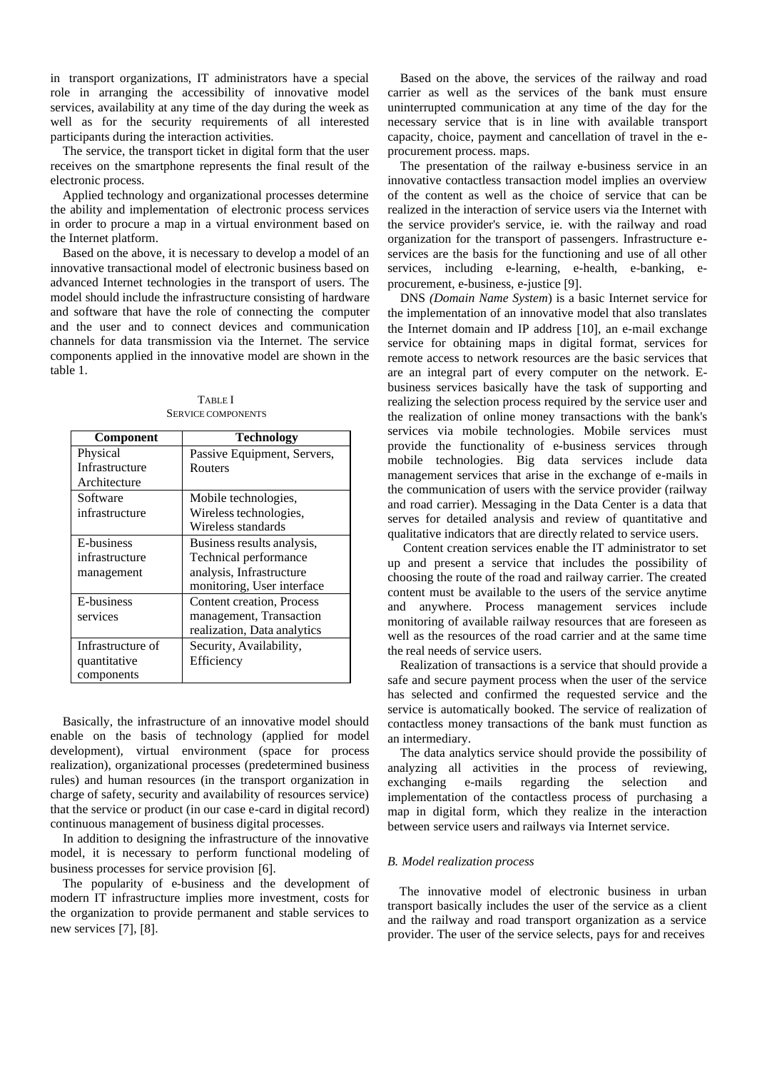in transport organizations, IT administrators have a special role in arranging the accessibility of innovative model services, availability at any time of the day during the week as well as for the security requirements of all interested participants during the interaction activities.

The service, the transport ticket in digital form that the user receives on the smartphone represents the final result of the electronic process.

Applied technology and organizational processes determine the ability and implementation of electronic process services in order to procure a map in a virtual environment based on the Internet platform.

Based on the above, it is necessary to develop a model of an innovative transactional model of electronic business based on advanced Internet technologies in the transport of users. The model should include the infrastructure consisting of hardware and software that have the role of connecting the computer and the user and to connect devices and communication channels for data transmission via the Internet. The service components applied in the innovative model are shown in the table 1.

| Component         | <b>Technology</b>           |
|-------------------|-----------------------------|
| Physical          | Passive Equipment, Servers, |
| Infrastructure    | Routers                     |
| Architecture      |                             |
| Software          | Mobile technologies,        |
| infrastructure    | Wireless technologies,      |
|                   | Wireless standards          |
| E-business        | Business results analysis,  |
| infrastructure    | Technical performance       |
| management        | analysis, Infrastructure    |
|                   | monitoring, User interface  |
| E-business        | Content creation, Process   |
| services          | management, Transaction     |
|                   | realization, Data analytics |
| Infrastructure of | Security, Availability,     |
| quantitative      | Efficiency                  |
| components        |                             |

TABLE I SERVICE COMPONENTS

Basically, the infrastructure of an innovative model should enable on the basis of technology (applied for model development), virtual environment (space for process realization), organizational processes (predetermined business rules) and human resources (in the transport organization in charge of safety, security and availability of resources service) that the service or product (in our case e-card in digital record) continuous management of business digital processes.

In addition to designing the infrastructure of the innovative model, it is necessary to perform functional modeling of business processes for service provision [6].

The popularity of e-business and the development of modern IT infrastructure implies more investment, costs for the organization to provide permanent and stable services to new services  $[7]$ ,  $[8]$ .

Based on the above, the services of the railway and road carrier as well as the services of the bank must ensure uninterrupted communication at any time of the day for the necessary service that is in line with available transport capacity, choice, payment and cancellation of travel in the eprocurement process. maps.

The presentation of the railway e-business service in an innovative contactless transaction model implies an overview of the content as well as the choice of service that can be realized in the interaction of service users via the Internet with the service provider's service, ie. with the railway and road organization for the transport of passengers. Infrastructure eservices are the basis for the functioning and use of all other services, including e-learning, e-health, e-banking, eprocurement, e-business, e-justice [9].

DNS *(Domain Name System*) is a basic Internet service for the implementation of an innovative model that also translates the Internet domain and IP address [10], an e-mail exchange service for obtaining maps in digital format, services for remote access to network resources are the basic services that are an integral part of every computer on the network. Ebusiness services basically have the task of supporting and realizing the selection process required by the service user and the realization of online money transactions with the bank's services via mobile technologies. Mobile services must provide the functionality of e-business services through mobile technologies. Big data services include data management services that arise in the exchange of e-mails in the communication of users with the service provider (railway and road carrier). Messaging in the Data Center is a data that serves for detailed analysis and review of quantitative and qualitative indicators that are directly related to service users.

Content creation services enable the IT administrator to set up and present a service that includes the possibility of choosing the route of the road and railway carrier. The created content must be available to the users of the service anytime and anywhere. Process management services include monitoring of available railway resources that are foreseen as well as the resources of the road carrier and at the same time the real needs of service users.

Realization of transactions is a service that should provide a safe and secure payment process when the user of the service has selected and confirmed the requested service and the service is automatically booked. The service of realization of contactless money transactions of the bank must function as an intermediary.

The data analytics service should provide the possibility of analyzing all activities in the process of reviewing, exchanging e-mails regarding the selection and implementation of the contactless process of purchasing a map in digital form, which they realize in the interaction between service users and railways via Internet service.

#### *B. Model realization process*

The innovative model of electronic business in urban transport basically includes the user of the service as a client and the railway and road transport organization as a service provider. The user of the service selects, pays for and receives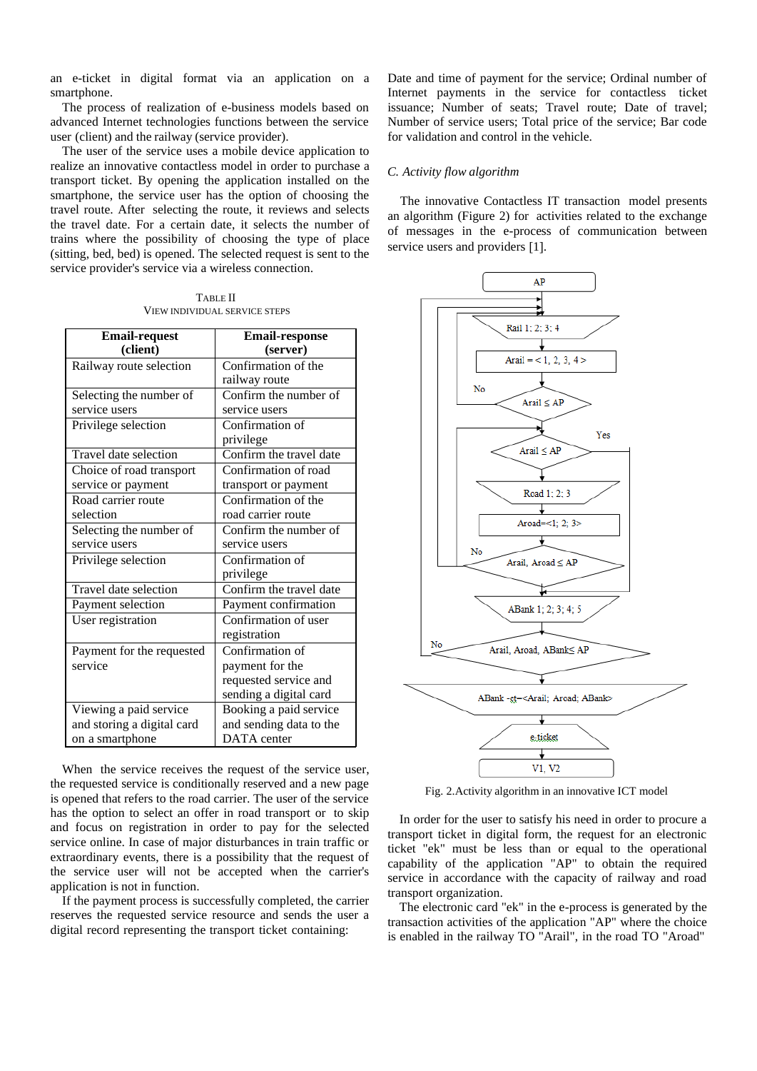an e-ticket in digital format via an application on a smartphone.

The process of realization of e-business models based on advanced Internet technologies functions between the service user (client) and the railway (service provider).

The user of the service uses a mobile device application to realize an innovative contactless model in order to purchase a transport ticket. By opening the application installed on the smartphone, the service user has the option of choosing the travel route. After selecting the route, it reviews and selects the travel date. For a certain date, it selects the number of trains where the possibility of choosing the type of place (sitting, bed, bed) is opened. The selected request is sent to the service provider's service via a wireless connection.

TABLE II VIEW INDIVIDUAL SERVICE STEPS

| <b>Email-request</b>       | <b>Email-response</b>   |
|----------------------------|-------------------------|
| (client)                   | (server)                |
| Railway route selection    | Confirmation of the     |
|                            | railway route           |
| Selecting the number of    | Confirm the number of   |
| service users              | service users           |
| Privilege selection        | Confirmation of         |
|                            | privilege               |
| Travel date selection      | Confirm the travel date |
| Choice of road transport   | Confirmation of road    |
| service or payment         | transport or payment    |
| Road carrier route         | Confirmation of the     |
| selection                  | road carrier route      |
| Selecting the number of    | Confirm the number of   |
| service users              | service users           |
| Privilege selection        | Confirmation of         |
|                            | privilege               |
| Travel date selection      | Confirm the travel date |
| Payment selection          | Payment confirmation    |
| User registration          | Confirmation of user    |
|                            | registration            |
| Payment for the requested  | Confirmation of         |
| service                    | payment for the         |
|                            | requested service and   |
|                            | sending a digital card  |
| Viewing a paid service     | Booking a paid service  |
| and storing a digital card | and sending data to the |
| on a smartphone            | DATA center             |

When the service receives the request of the service user, the requested service is conditionally reserved and a new page is opened that refers to the road carrier. The user of the service has the option to select an offer in road transport or to skip and focus on registration in order to pay for the selected service online. In case of major disturbances in train traffic or extraordinary events, there is a possibility that the request of the service user will not be accepted when the carrier's application is not in function.

If the payment process is successfully completed, the carrier reserves the requested service resource and sends the user a digital record representing the transport ticket containing:

Date and time of payment for the service; Ordinal number of Internet payments in the service for contactless ticket issuance; Number of seats; Travel route; Date of travel; Number of service users; Total price of the service; Bar code for validation and control in the vehicle.

#### *C. Activity flow algorithm*

The innovative Contactless IT transaction model presents an algorithm (Figure 2) for activities related to the exchange of messages in the e-process of communication between service users and providers [1].



Fig. 2.Activity algorithm in an innovative ICT model

In order for the user to satisfy his need in order to procure a transport ticket in digital form, the request for an electronic ticket "ek" must be less than or equal to the operational capability of the application "AP" to obtain the required service in accordance with the capacity of railway and road transport organization.

The electronic card "ek" in the e-process is generated by the transaction activities of the application "AP" where the choice is enabled in the railway TO "Arail", in the road TO "Aroad"